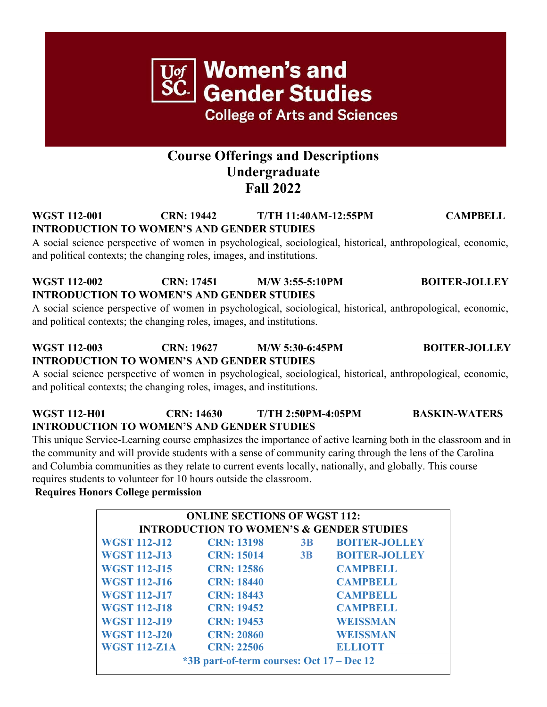# **Course Offerings and Descriptions Undergraduate Fall 2022**

**College of Arts and Sciences** 

#### **WGST 112-001 CRN: 19442 T/TH 11:40AM-12:55PM CAMPBELL INTRODUCTION TO WOMEN'S AND GENDER STUDIES**

A social science perspective of women in psychological, sociological, historical, anthropological, economic, and political contexts; the changing roles, images, and institutions.

# **WGST 112-002 CRN: 17451 M/W 3:55-5:10PM BOITER-JOLLEY INTRODUCTION TO WOMEN'S AND GENDER STUDIES**

A social science perspective of women in psychological, sociological, historical, anthropological, economic, and political contexts; the changing roles, images, and institutions.

#### **WGST 112-003 CRN: 19627 M/W 5:30-6:45PM BOITER-JOLLEY INTRODUCTION TO WOMEN'S AND GENDER STUDIES**

A social science perspective of women in psychological, sociological, historical, anthropological, economic, and political contexts; the changing roles, images, and institutions.

#### **WGST 112-H01 CRN: 14630 T/TH 2:50PM-4:05PM BASKIN-WATERS INTRODUCTION TO WOMEN'S AND GENDER STUDIES**

This unique Service-Learning course emphasizes the importance of active learning both in the classroom and in the community and will provide students with a sense of community caring through the lens of the Carolina and Columbia communities as they relate to current events locally, nationally, and globally. This course requires students to volunteer for 10 hours outside the classroom.

#### **Requires Honors College permission**

| <b>ONLINE SECTIONS OF WGST 112:</b>                 |                   |    |                      |  |  |
|-----------------------------------------------------|-------------------|----|----------------------|--|--|
| <b>INTRODUCTION TO WOMEN'S &amp; GENDER STUDIES</b> |                   |    |                      |  |  |
| <b>WGST 112-J12</b>                                 | <b>CRN: 13198</b> | 3B | <b>BOITER-JOLLEY</b> |  |  |
| <b>WGST 112-J13</b>                                 | <b>CRN: 15014</b> | 3B | <b>BOITER-JOLLEY</b> |  |  |
| <b>WGST 112-J15</b>                                 | <b>CRN: 12586</b> |    | <b>CAMPBELL</b>      |  |  |
| <b>WGST 112-J16</b>                                 | <b>CRN: 18440</b> |    | <b>CAMPBELL</b>      |  |  |
| <b>WGST 112-J17</b>                                 | <b>CRN: 18443</b> |    | <b>CAMPBELL</b>      |  |  |
| <b>WGST 112-J18</b>                                 | <b>CRN: 19452</b> |    | <b>CAMPBELL</b>      |  |  |
| <b>WGST 112-J19</b>                                 | <b>CRN: 19453</b> |    | <b>WEISSMAN</b>      |  |  |
| <b>WGST 112-J20</b>                                 | <b>CRN: 20860</b> |    | <b>WEISSMAN</b>      |  |  |
| <b>WGST 112-Z1A</b>                                 | <b>CRN: 22506</b> |    | <b>ELLIOTT</b>       |  |  |
| *3B part-of-term courses: Oct 17 – Dec 12           |                   |    |                      |  |  |



**Women's and Gender Studies**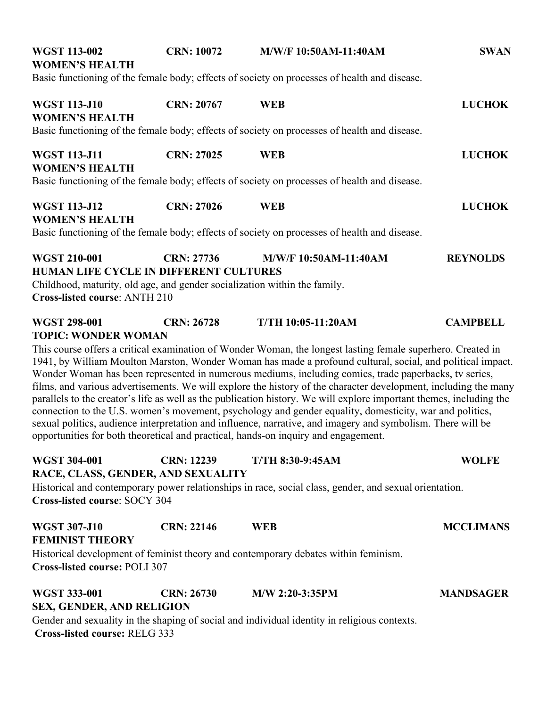| <b>WGST 113-002</b><br><b>WOMEN'S HEALTH</b>                                                                                                                                              | <b>CRN: 10072</b> | <b>M/W/F 10:50AM-11:40AM</b><br>Basic functioning of the female body; effects of society on processes of health and disease.                                                                                                                                                                                                                                                                                                                                                                                                                                                                                                                                                                                                                                                                                                                                                                 | <b>SWAN</b>      |
|-------------------------------------------------------------------------------------------------------------------------------------------------------------------------------------------|-------------------|----------------------------------------------------------------------------------------------------------------------------------------------------------------------------------------------------------------------------------------------------------------------------------------------------------------------------------------------------------------------------------------------------------------------------------------------------------------------------------------------------------------------------------------------------------------------------------------------------------------------------------------------------------------------------------------------------------------------------------------------------------------------------------------------------------------------------------------------------------------------------------------------|------------------|
| <b>WGST 113-J10</b><br><b>WOMEN'S HEALTH</b>                                                                                                                                              | <b>CRN: 20767</b> | <b>WEB</b>                                                                                                                                                                                                                                                                                                                                                                                                                                                                                                                                                                                                                                                                                                                                                                                                                                                                                   | <b>LUCHOK</b>    |
|                                                                                                                                                                                           |                   | Basic functioning of the female body; effects of society on processes of health and disease.                                                                                                                                                                                                                                                                                                                                                                                                                                                                                                                                                                                                                                                                                                                                                                                                 |                  |
| <b>WGST 113-J11</b><br><b>WOMEN'S HEALTH</b>                                                                                                                                              | <b>CRN: 27025</b> | <b>WEB</b>                                                                                                                                                                                                                                                                                                                                                                                                                                                                                                                                                                                                                                                                                                                                                                                                                                                                                   | <b>LUCHOK</b>    |
|                                                                                                                                                                                           |                   | Basic functioning of the female body; effects of society on processes of health and disease.                                                                                                                                                                                                                                                                                                                                                                                                                                                                                                                                                                                                                                                                                                                                                                                                 |                  |
| <b>WGST 113-J12</b><br><b>WOMEN'S HEALTH</b>                                                                                                                                              | <b>CRN: 27026</b> | <b>WEB</b>                                                                                                                                                                                                                                                                                                                                                                                                                                                                                                                                                                                                                                                                                                                                                                                                                                                                                   | <b>LUCHOK</b>    |
|                                                                                                                                                                                           |                   | Basic functioning of the female body; effects of society on processes of health and disease.                                                                                                                                                                                                                                                                                                                                                                                                                                                                                                                                                                                                                                                                                                                                                                                                 |                  |
| <b>WGST 210-001</b><br><b>HUMAN LIFE CYCLE IN DIFFERENT CULTURES</b><br>Childhood, maturity, old age, and gender socialization within the family.<br><b>Cross-listed course: ANTH 210</b> | <b>CRN: 27736</b> | M/W/F 10:50AM-11:40AM                                                                                                                                                                                                                                                                                                                                                                                                                                                                                                                                                                                                                                                                                                                                                                                                                                                                        | <b>REYNOLDS</b>  |
| <b>WGST 298-001</b><br><b>TOPIC: WONDER WOMAN</b>                                                                                                                                         | <b>CRN: 26728</b> | T/TH 10:05-11:20AM                                                                                                                                                                                                                                                                                                                                                                                                                                                                                                                                                                                                                                                                                                                                                                                                                                                                           | <b>CAMPBELL</b>  |
|                                                                                                                                                                                           |                   | This course offers a critical examination of Wonder Woman, the longest lasting female superhero. Created in<br>1941, by William Moulton Marston, Wonder Woman has made a profound cultural, social, and political impact.<br>Wonder Woman has been represented in numerous mediums, including comics, trade paperbacks, tv series,<br>films, and various advertisements. We will explore the history of the character development, including the many<br>parallels to the creator's life as well as the publication history. We will explore important themes, including the<br>connection to the U.S. women's movement, psychology and gender equality, domesticity, war and politics,<br>sexual politics, audience interpretation and influence, narrative, and imagery and symbolism. There will be<br>opportunities for both theoretical and practical, hands-on inquiry and engagement. |                  |
| <b>WGST 304-001</b><br>RACE, CLASS, GENDER, AND SEXUALITY                                                                                                                                 | <b>CRN: 12239</b> | <b>T/TH 8:30-9:45AM</b>                                                                                                                                                                                                                                                                                                                                                                                                                                                                                                                                                                                                                                                                                                                                                                                                                                                                      | <b>WOLFE</b>     |
| <b>Cross-listed course: SOCY 304</b>                                                                                                                                                      |                   | Historical and contemporary power relationships in race, social class, gender, and sexual orientation.                                                                                                                                                                                                                                                                                                                                                                                                                                                                                                                                                                                                                                                                                                                                                                                       |                  |
| <b>WGST 307-J10</b><br><b>FEMINIST THEORY</b><br><b>Cross-listed course: POLI 307</b>                                                                                                     | <b>CRN: 22146</b> | <b>WEB</b><br>Historical development of feminist theory and contemporary debates within feminism.                                                                                                                                                                                                                                                                                                                                                                                                                                                                                                                                                                                                                                                                                                                                                                                            | <b>MCCLIMANS</b> |
| <b>WGST 333-001</b><br><b>SEX, GENDER, AND RELIGION</b><br><b>Cross-listed course: RELG 333</b>                                                                                           | <b>CRN: 26730</b> | M/W 2:20-3:35PM<br>Gender and sexuality in the shaping of social and individual identity in religious contexts.                                                                                                                                                                                                                                                                                                                                                                                                                                                                                                                                                                                                                                                                                                                                                                              | <b>MANDSAGER</b> |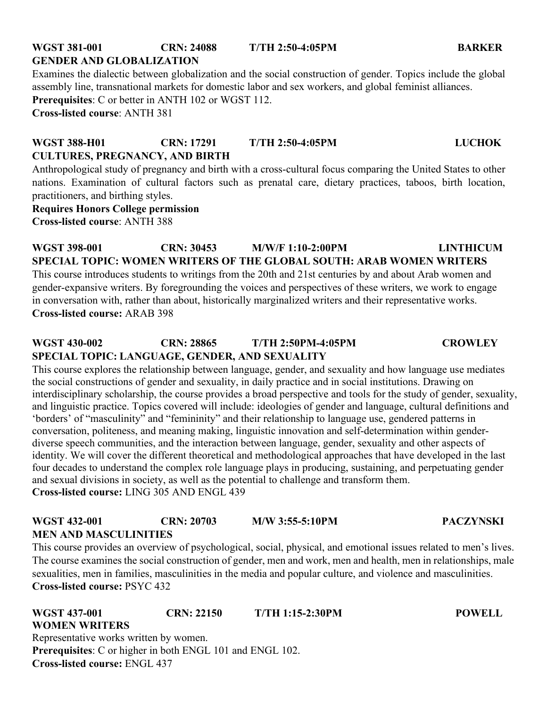# **WGST 381-001 CRN: 24088 T/TH 2:50-4:05PM BARKER GENDER AND GLOBALIZATION**

Examines the dialectic between globalization and the social construction of gender. Topics include the global assembly line, transnational markets for domestic labor and sex workers, and global feminist alliances. **Prerequisites**: C or better in ANTH 102 or WGST 112. **Cross-listed course**: ANTH 381

#### **WGST 388-H01 CRN: 17291 T/TH 2:50-4:05PM LUCHOK CULTURES, PREGNANCY, AND BIRTH**

Anthropological study of pregnancy and birth with a cross-cultural focus comparing the United States to other nations. Examination of cultural factors such as prenatal care, dietary practices, taboos, birth location, practitioners, and birthing styles.

**Requires Honors College permission Cross-listed course**: ANTH 388

# **WGST 398-001 CRN: 30453 M/W/F 1:10-2:00PM LINTHICUM SPECIAL TOPIC: WOMEN WRITERS OF THE GLOBAL SOUTH: ARAB WOMEN WRITERS**

This course introduces students to writings from the 20th and 21st centuries by and about Arab women and gender-expansive writers. By foregrounding the voices and perspectives of these writers, we work to engage in conversation with, rather than about, historically marginalized writers and their representative works. **Cross-listed course:** ARAB 398

# **WGST 430-002 CRN: 28865 T/TH 2:50PM-4:05PM CROWLEY SPECIAL TOPIC: LANGUAGE, GENDER, AND SEXUALITY**

This course explores the relationship between language, gender, and sexuality and how language use mediates the social constructions of gender and sexuality, in daily practice and in social institutions. Drawing on interdisciplinary scholarship, the course provides a broad perspective and tools for the study of gender, sexuality, and linguistic practice. Topics covered will include: ideologies of gender and language, cultural definitions and 'borders' of "masculinity" and "femininity" and their relationship to language use, gendered patterns in conversation, politeness, and meaning making, linguistic innovation and self-determination within genderdiverse speech communities, and the interaction between language, gender, sexuality and other aspects of identity. We will cover the different theoretical and methodological approaches that have developed in the last four decades to understand the complex role language plays in producing, sustaining, and perpetuating gender and sexual divisions in society, as well as the potential to challenge and transform them. **Cross-listed course:** LING 305 AND ENGL 439

# **WGST 432-001 CRN: 20703 M/W 3:55-5:10PM PACZYNSKI MEN AND MASCULINITIES**

This course provides an overview of psychological, social, physical, and emotional issues related to men's lives. The course examines the social construction of gender, men and work, men and health, men in relationships, male sexualities, men in families, masculinities in the media and popular culture, and violence and masculinities. **Cross-listed course:** PSYC 432

| WGST 437-001                                                     | <b>CRN: 22150</b> | <b>T/TH 1:15-2:30PM</b> | <b>POWELL</b> |
|------------------------------------------------------------------|-------------------|-------------------------|---------------|
| <b>WOMEN WRITERS</b>                                             |                   |                         |               |
| Representative works written by women.                           |                   |                         |               |
| <b>Prerequisites:</b> C or higher in both ENGL 101 and ENGL 102. |                   |                         |               |
| <b>Cross-listed course: ENGL 437</b>                             |                   |                         |               |